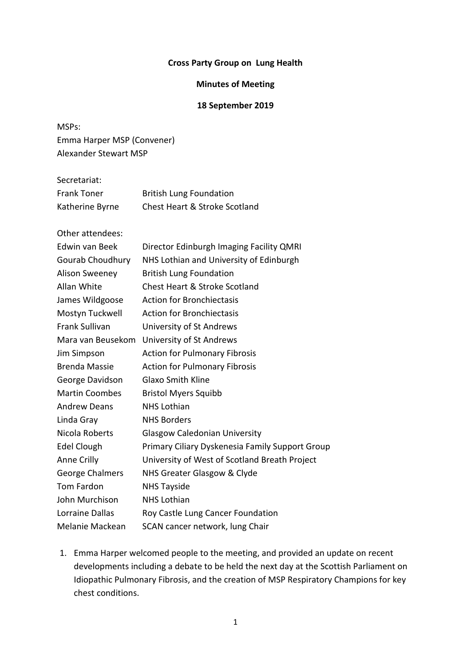#### **Cross Party Group on Lung Health**

#### **Minutes of Meeting**

### **18 September 2019**

MSPs: Emma Harper MSP (Convener) Alexander Stewart MSP

| Secretariat:       |                                          |
|--------------------|------------------------------------------|
| <b>Frank Toner</b> | <b>British Lung Foundation</b>           |
| Katherine Byrne    | <b>Chest Heart &amp; Stroke Scotland</b> |

Other attendees:

| <b>Edwin van Beek</b> | Director Edinburgh Imaging Facility QMRI        |
|-----------------------|-------------------------------------------------|
| Gourab Choudhury      | NHS Lothian and University of Edinburgh         |
| <b>Alison Sweeney</b> | <b>British Lung Foundation</b>                  |
| Allan White           | <b>Chest Heart &amp; Stroke Scotland</b>        |
| James Wildgoose       | <b>Action for Bronchiectasis</b>                |
| Mostyn Tuckwell       | <b>Action for Bronchiectasis</b>                |
| <b>Frank Sullivan</b> | University of St Andrews                        |
| Mara van Beusekom     | University of St Andrews                        |
| Jim Simpson           | <b>Action for Pulmonary Fibrosis</b>            |
| <b>Brenda Massie</b>  | <b>Action for Pulmonary Fibrosis</b>            |
| George Davidson       | <b>Glaxo Smith Kline</b>                        |
| <b>Martin Coombes</b> | <b>Bristol Myers Squibb</b>                     |
| <b>Andrew Deans</b>   | <b>NHS Lothian</b>                              |
| Linda Gray            | <b>NHS Borders</b>                              |
| Nicola Roberts        | <b>Glasgow Caledonian University</b>            |
| Edel Clough           | Primary Ciliary Dyskenesia Family Support Group |
| Anne Crilly           | University of West of Scotland Breath Project   |
| George Chalmers       | NHS Greater Glasgow & Clyde                     |
| <b>Tom Fardon</b>     | <b>NHS Tayside</b>                              |
| John Murchison        | <b>NHS Lothian</b>                              |
| Lorraine Dallas       | Roy Castle Lung Cancer Foundation               |
| Melanie Mackean       | SCAN cancer network, lung Chair                 |

1. Emma Harper welcomed people to the meeting, and provided an update on recent developments including a debate to be held the next day at the Scottish Parliament on Idiopathic Pulmonary Fibrosis, and the creation of MSP Respiratory Champions for key chest conditions.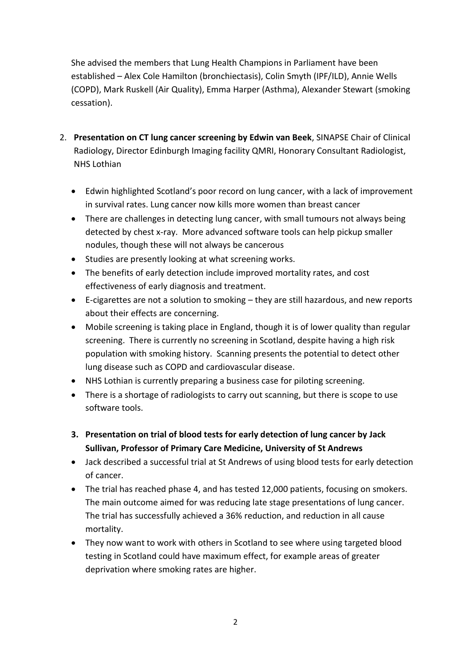She advised the members that Lung Health Champions in Parliament have been established – Alex Cole Hamilton (bronchiectasis), Colin Smyth (IPF/ILD), Annie Wells (COPD), Mark Ruskell (Air Quality), Emma Harper (Asthma), Alexander Stewart (smoking cessation).

- 2. **Presentation on CT lung cancer screening by Edwin van Beek**, SINAPSE Chair of Clinical Radiology, Director Edinburgh Imaging facility QMRI, Honorary Consultant Radiologist, NHS Lothian
	- Edwin highlighted Scotland's poor record on lung cancer, with a lack of improvement in survival rates. Lung cancer now kills more women than breast cancer
	- There are challenges in detecting lung cancer, with small tumours not always being detected by chest x-ray. More advanced software tools can help pickup smaller nodules, though these will not always be cancerous
	- Studies are presently looking at what screening works.
	- The benefits of early detection include improved mortality rates, and cost effectiveness of early diagnosis and treatment.
	- E-cigarettes are not a solution to smoking they are still hazardous, and new reports about their effects are concerning.
	- Mobile screening is taking place in England, though it is of lower quality than regular screening. There is currently no screening in Scotland, despite having a high risk population with smoking history. Scanning presents the potential to detect other lung disease such as COPD and cardiovascular disease.
	- NHS Lothian is currently preparing a business case for piloting screening.
	- There is a shortage of radiologists to carry out scanning, but there is scope to use software tools.
	- **3. Presentation on trial of blood tests for early detection of lung cancer by Jack Sullivan, Professor of Primary Care Medicine, University of St Andrews**
	- Jack described a successful trial at St Andrews of using blood tests for early detection of cancer.
	- The trial has reached phase 4, and has tested 12,000 patients, focusing on smokers. The main outcome aimed for was reducing late stage presentations of lung cancer. The trial has successfully achieved a 36% reduction, and reduction in all cause mortality.
	- They now want to work with others in Scotland to see where using targeted blood testing in Scotland could have maximum effect, for example areas of greater deprivation where smoking rates are higher.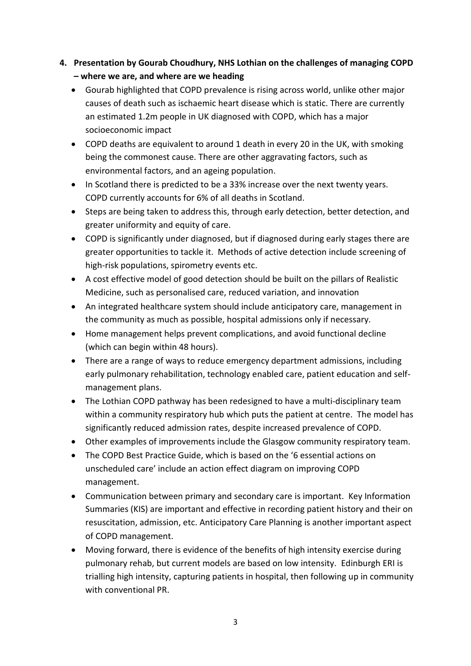- **4. Presentation by Gourab Choudhury, NHS Lothian on the challenges of managing COPD – where we are, and where are we heading**
	- Gourab highlighted that COPD prevalence is rising across world, unlike other major causes of death such as ischaemic heart disease which is static. There are currently an estimated 1.2m people in UK diagnosed with COPD, which has a major socioeconomic impact
	- COPD deaths are equivalent to around 1 death in every 20 in the UK, with smoking being the commonest cause. There are other aggravating factors, such as environmental factors, and an ageing population.
	- In Scotland there is predicted to be a 33% increase over the next twenty years. COPD currently accounts for 6% of all deaths in Scotland.
	- Steps are being taken to address this, through early detection, better detection, and greater uniformity and equity of care.
	- COPD is significantly under diagnosed, but if diagnosed during early stages there are greater opportunities to tackle it. Methods of active detection include screening of high-risk populations, spirometry events etc.
	- A cost effective model of good detection should be built on the pillars of Realistic Medicine, such as personalised care, reduced variation, and innovation
	- An integrated healthcare system should include anticipatory care, management in the community as much as possible, hospital admissions only if necessary.
	- Home management helps prevent complications, and avoid functional decline (which can begin within 48 hours).
	- There are a range of ways to reduce emergency department admissions, including early pulmonary rehabilitation, technology enabled care, patient education and selfmanagement plans.
	- The Lothian COPD pathway has been redesigned to have a multi-disciplinary team within a community respiratory hub which puts the patient at centre. The model has significantly reduced admission rates, despite increased prevalence of COPD.
	- Other examples of improvements include the Glasgow community respiratory team.
	- The COPD Best Practice Guide, which is based on the '6 essential actions on unscheduled care' include an action effect diagram on improving COPD management.
	- Communication between primary and secondary care is important. Key Information Summaries (KIS) are important and effective in recording patient history and their on resuscitation, admission, etc. Anticipatory Care Planning is another important aspect of COPD management.
	- Moving forward, there is evidence of the benefits of high intensity exercise during pulmonary rehab, but current models are based on low intensity. Edinburgh ERI is trialling high intensity, capturing patients in hospital, then following up in community with conventional PR.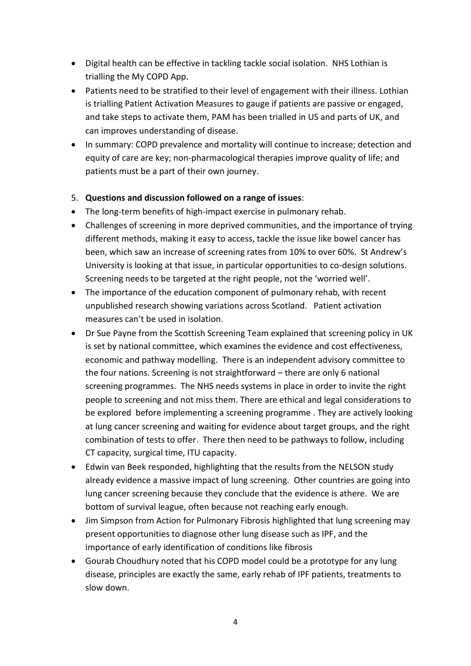- Digital health can be effective in tackling tackle social isolation. NHS Lothian is trialling the My COPD App.
- Patients need to be stratified to their level of engagement with their illness. Lothian is trialling Patient Activation Measures to gauge if patients are passive or engaged, and take steps to activate them, PAM has been trialled in US and parts of UK, and can improves understanding of disease.
- In summary: COPD prevalence and mortality will continue to increase; detection and equity of care are key; non-pharmacological therapies improve quality of life; and patients must be a part of their own journey.

## 5. **Questions and discussion followed on a range of issues**:

- The long-term benefits of high-impact exercise in pulmonary rehab.
- Challenges of screening in more deprived communities, and the importance of trying different methods, making it easy to access, tackle the issue like bowel cancer has been, which saw an increase of screening rates from 10% to over 60%. St Andrew's University is looking at that issue, in particular opportunities to co-design solutions. Screening needs to be targeted at the right people, not the 'worried well'.
- The importance of the education component of pulmonary rehab, with recent unpublished research showing variations across Scotland. Patient activation measures can't be used in isolation.
- Dr Sue Payne from the Scottish Screening Team explained that screening policy in UK is set by national committee, which examines the evidence and cost effectiveness, economic and pathway modelling. There is an independent advisory committee to the four nations. Screening is not straightforward – there are only 6 national screening programmes. The NHS needs systems in place in order to invite the right people to screening and not miss them. There are ethical and legal considerations to be explored before implementing a screening programme . They are actively looking at lung cancer screening and waiting for evidence about target groups, and the right combination of tests to offer. There then need to be pathways to follow, including CT capacity, surgical time, ITU capacity.
- Edwin van Beek responded, highlighting that the results from the NELSON study already evidence a massive impact of lung screening. Other countries are going into lung cancer screening because they conclude that the evidence is athere. We are bottom of survival league, often because not reaching early enough.
- Jim Simpson from Action for Pulmonary Fibrosis highlighted that lung screening may present opportunities to diagnose other lung disease such as IPF, and the importance of early identification of conditions like fibrosis
- Gourab Choudhury noted that his COPD model could be a prototype for any lung disease, principles are exactly the same, early rehab of IPF patients, treatments to slow down.